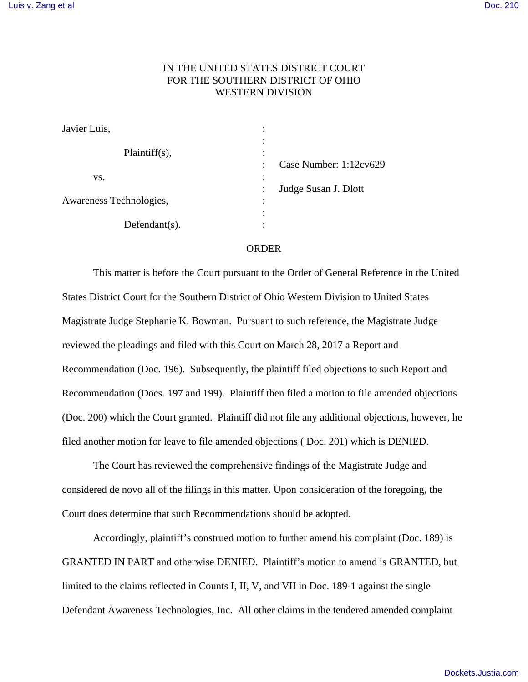## IN THE UNITED STATES DISTRICT COURT FOR THE SOUTHERN DISTRICT OF OHIO WESTERN DIVISION

| Javier Luis,            | ٠<br>٠                                   |
|-------------------------|------------------------------------------|
| $Plaintiff(s)$ ,        | ٠<br>٠<br>٠<br>$\bullet$                 |
|                         | Case Number: 1:12cv629<br>$\ddot{\cdot}$ |
| VS.                     | $\bullet$                                |
|                         | Judge Susan J. Dlott<br>$\ddot{\cdot}$   |
| Awareness Technologies, | $\bullet$<br>٠                           |
|                         | ٠                                        |
| $Defendant(s)$ .        |                                          |

## ORDER

This matter is before the Court pursuant to the Order of General Reference in the United States District Court for the Southern District of Ohio Western Division to United States Magistrate Judge Stephanie K. Bowman. Pursuant to such reference, the Magistrate Judge reviewed the pleadings and filed with this Court on March 28, 2017 a Report and Recommendation (Doc. 196). Subsequently, the plaintiff filed objections to such Report and Recommendation (Docs. 197 and 199). Plaintiff then filed a motion to file amended objections (Doc. 200) which the Court granted. Plaintiff did not file any additional objections, however, he filed another motion for leave to file amended objections ( Doc. 201) which is DENIED.

The Court has reviewed the comprehensive findings of the Magistrate Judge and considered de novo all of the filings in this matter. Upon consideration of the foregoing, the Court does determine that such Recommendations should be adopted.

Accordingly, plaintiff's construed motion to further amend his complaint (Doc. 189) is GRANTED IN PART and otherwise DENIED. Plaintiff's motion to amend is GRANTED, but limited to the claims reflected in Counts I, II, V, and VII in Doc. 189-1 against the single Defendant Awareness Technologies, Inc. All other claims in the tendered amended complaint